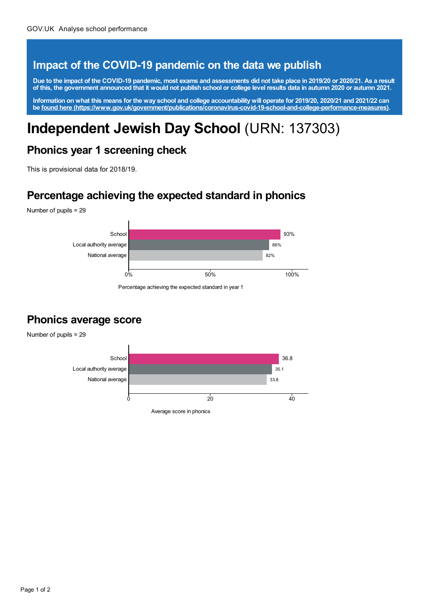### **Impact of the COVID-19 pandemic on the data we publish**

Due to the impact of the COVID-19 pandemic, most exams and assessments did not take place in 2019/20 or 2020/21. As a result of this, the government announced that it would not publish school or college level results data in autumn 2020 or autumn 2021.

Information on what this means for the way school and college accountability will operate for 2019/20, 2020/21 and 2021/22 can **be found here [\(https://www.gov.uk/government/publications/coronavirus-covid-19-school-and-college-performance-measures\)](https://www.gov.uk/government/publications/coronavirus-covid-19-school-and-college-performance-measures).**

# **Independent Jewish Day School** (URN: 137303)

#### **Phonics year 1 screening check**

This is provisional data for 2018/19.

#### **Percentage achieving the expected standard in phonics**

Number of pupils = 29



Percentage achieving the expected standard in year 1

#### **Phonics average score**